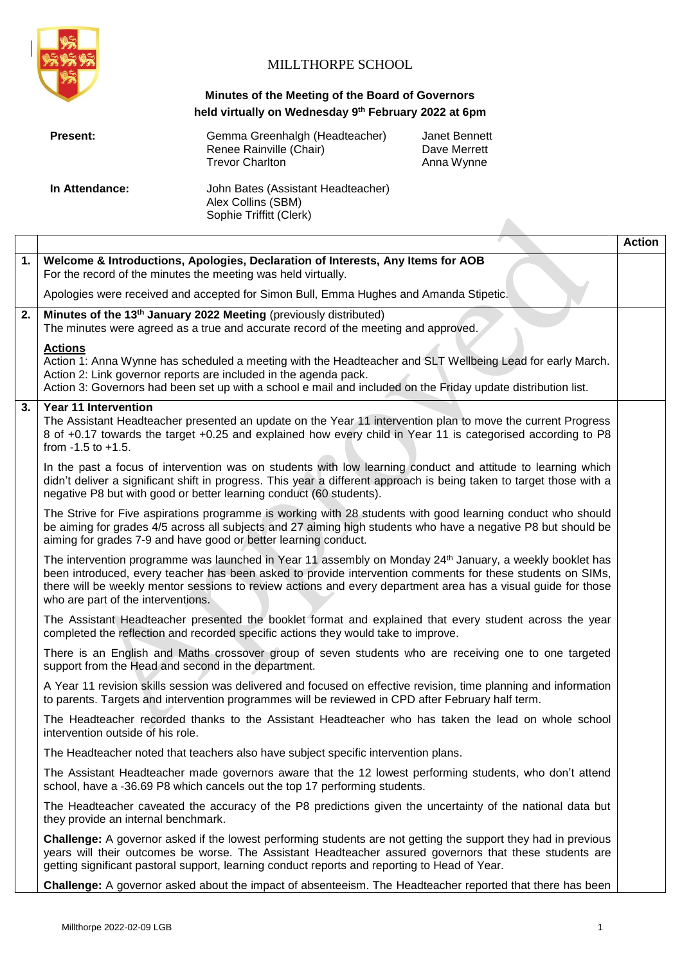

## MILLTHORPE SCHOOL

## **Minutes of the Meeting of the Board of Governors held virtually on Wednesday 9th February 2022 at 6pm**

| <b>Present:</b> | Gemma Greenhalgh (Headteacher)<br>Renee Rainville (Chair)<br><b>Trevor Charlton</b> | Janet Bennett<br>Dave Merrett<br>Anna Wynne |
|-----------------|-------------------------------------------------------------------------------------|---------------------------------------------|
| In Attendance:  | John Bates (Assistant Headteacher)<br>Alex Collins (SBM)<br>Sophie Triffitt (Clerk) |                                             |

|                  |                                                                                                                                                                                                                                                                                                                                                                               | <b>Action</b> |
|------------------|-------------------------------------------------------------------------------------------------------------------------------------------------------------------------------------------------------------------------------------------------------------------------------------------------------------------------------------------------------------------------------|---------------|
| 1.               | Welcome & Introductions, Apologies, Declaration of Interests, Any Items for AOB<br>For the record of the minutes the meeting was held virtually.                                                                                                                                                                                                                              |               |
|                  | Apologies were received and accepted for Simon Bull, Emma Hughes and Amanda Stipetic.                                                                                                                                                                                                                                                                                         |               |
| 2.               | Minutes of the 13 <sup>th</sup> January 2022 Meeting (previously distributed)<br>The minutes were agreed as a true and accurate record of the meeting and approved.                                                                                                                                                                                                           |               |
|                  | <b>Actions</b><br>Action 1: Anna Wynne has scheduled a meeting with the Headteacher and SLT Wellbeing Lead for early March.<br>Action 2: Link governor reports are included in the agenda pack.<br>Action 3: Governors had been set up with a school e mail and included on the Friday update distribution list.                                                              |               |
| $\overline{3}$ . | <b>Year 11 Intervention</b><br>The Assistant Headteacher presented an update on the Year 11 intervention plan to move the current Progress<br>8 of +0.17 towards the target +0.25 and explained how every child in Year 11 is categorised according to P8<br>from $-1.5$ to $+1.5$ .                                                                                          |               |
|                  | In the past a focus of intervention was on students with low learning conduct and attitude to learning which<br>didn't deliver a significant shift in progress. This year a different approach is being taken to target those with a<br>negative P8 but with good or better learning conduct (60 students).                                                                   |               |
|                  | The Strive for Five aspirations programme is working with 28 students with good learning conduct who should<br>be aiming for grades 4/5 across all subjects and 27 aiming high students who have a negative P8 but should be<br>aiming for grades 7-9 and have good or better learning conduct.                                                                               |               |
|                  | The intervention programme was launched in Year 11 assembly on Monday 24th January, a weekly booklet has<br>been introduced, every teacher has been asked to provide intervention comments for these students on SIMs,<br>there will be weekly mentor sessions to review actions and every department area has a visual guide for those<br>who are part of the interventions. |               |
|                  | The Assistant Headteacher presented the booklet format and explained that every student across the year<br>completed the reflection and recorded specific actions they would take to improve.                                                                                                                                                                                 |               |
|                  | There is an English and Maths crossover group of seven students who are receiving one to one targeted<br>support from the Head and second in the department.                                                                                                                                                                                                                  |               |
|                  | A Year 11 revision skills session was delivered and focused on effective revision, time planning and information<br>to parents. Targets and intervention programmes will be reviewed in CPD after February half term.                                                                                                                                                         |               |
|                  | The Headteacher recorded thanks to the Assistant Headteacher who has taken the lead on whole school<br>intervention outside of his role.                                                                                                                                                                                                                                      |               |
|                  | The Headteacher noted that teachers also have subject specific intervention plans.                                                                                                                                                                                                                                                                                            |               |
|                  | The Assistant Headteacher made governors aware that the 12 lowest performing students, who don't attend<br>school, have a -36.69 P8 which cancels out the top 17 performing students.                                                                                                                                                                                         |               |
|                  | The Headteacher caveated the accuracy of the P8 predictions given the uncertainty of the national data but<br>they provide an internal benchmark.                                                                                                                                                                                                                             |               |
|                  | <b>Challenge:</b> A governor asked if the lowest performing students are not getting the support they had in previous<br>years will their outcomes be worse. The Assistant Headteacher assured governors that these students are<br>getting significant pastoral support, learning conduct reports and reporting to Head of Year.                                             |               |
|                  | Challenge: A governor asked about the impact of absenteeism. The Headteacher reported that there has been                                                                                                                                                                                                                                                                     |               |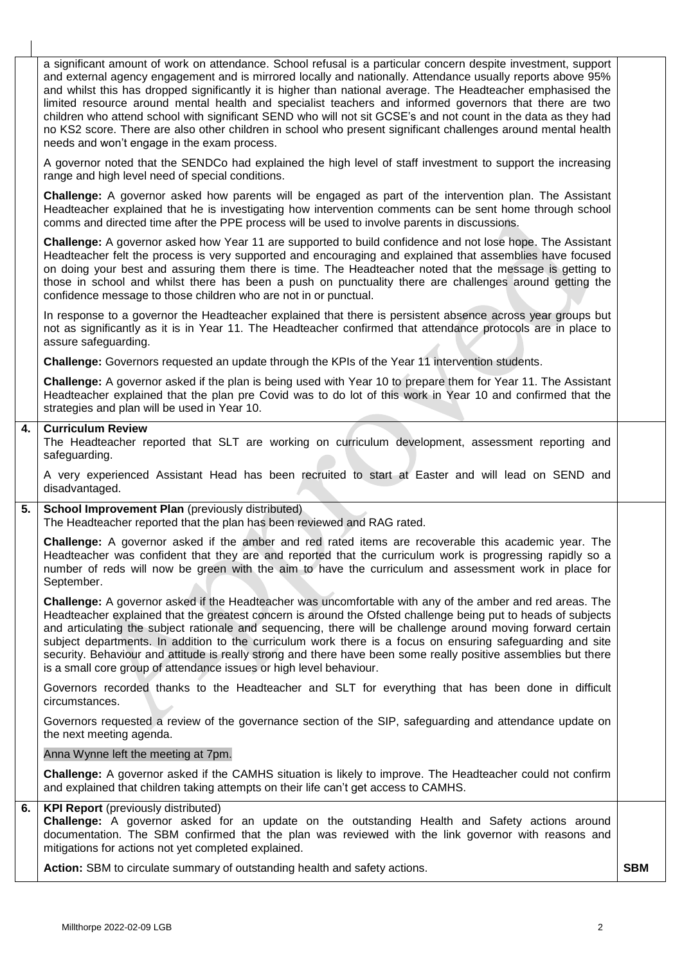a significant amount of work on attendance. School refusal is a particular concern despite investment, support and external agency engagement and is mirrored locally and nationally. Attendance usually reports above 95% and whilst this has dropped significantly it is higher than national average. The Headteacher emphasised the limited resource around mental health and specialist teachers and informed governors that there are two children who attend school with significant SEND who will not sit GCSE's and not count in the data as they had no KS2 score. There are also other children in school who present significant challenges around mental health needs and won't engage in the exam process. A governor noted that the SENDCo had explained the high level of staff investment to support the increasing range and high level need of special conditions. **Challenge:** A governor asked how parents will be engaged as part of the intervention plan. The Assistant Headteacher explained that he is investigating how intervention comments can be sent home through school comms and directed time after the PPE process will be used to involve parents in discussions. **Challenge:** A governor asked how Year 11 are supported to build confidence and not lose hope. The Assistant Headteacher felt the process is very supported and encouraging and explained that assemblies have focused on doing your best and assuring them there is time. The Headteacher noted that the message is getting to those in school and whilst there has been a push on punctuality there are challenges around getting the confidence message to those children who are not in or punctual. In response to a governor the Headteacher explained that there is persistent absence across year groups but not as significantly as it is in Year 11. The Headteacher confirmed that attendance protocols are in place to assure safeguarding. **Challenge:** Governors requested an update through the KPIs of the Year 11 intervention students. **Challenge:** A governor asked if the plan is being used with Year 10 to prepare them for Year 11. The Assistant Headteacher explained that the plan pre Covid was to do lot of this work in Year 10 and confirmed that the strategies and plan will be used in Year 10. **4. Curriculum Review**  The Headteacher reported that SLT are working on curriculum development, assessment reporting and safeguarding. A very experienced Assistant Head has been recruited to start at Easter and will lead on SEND and disadvantaged. **5.** School Improvement Plan (previously distributed) The Headteacher reported that the plan has been reviewed and RAG rated. **Challenge:** A governor asked if the amber and red rated items are recoverable this academic year. The Headteacher was confident that they are and reported that the curriculum work is progressing rapidly so a number of reds will now be green with the aim to have the curriculum and assessment work in place for September. **Challenge:** A governor asked if the Headteacher was uncomfortable with any of the amber and red areas. The Headteacher explained that the greatest concern is around the Ofsted challenge being put to heads of subjects and articulating the subject rationale and sequencing, there will be challenge around moving forward certain subject departments. In addition to the curriculum work there is a focus on ensuring safeguarding and site security. Behaviour and attitude is really strong and there have been some really positive assemblies but there is a small core group of attendance issues or high level behaviour. Governors recorded thanks to the Headteacher and SLT for everything that has been done in difficult circumstances. Governors requested a review of the governance section of the SIP, safeguarding and attendance update on the next meeting agenda. Anna Wynne left the meeting at 7pm. **Challenge:** A governor asked if the CAMHS situation is likely to improve. The Headteacher could not confirm and explained that children taking attempts on their life can't get access to CAMHS. **6. KPI Report** (previously distributed) **Challenge:** A governor asked for an update on the outstanding Health and Safety actions around documentation. The SBM confirmed that the plan was reviewed with the link governor with reasons and mitigations for actions not yet completed explained. **Action:** SBM to circulate summary of outstanding health and safety actions. **SBM SBM**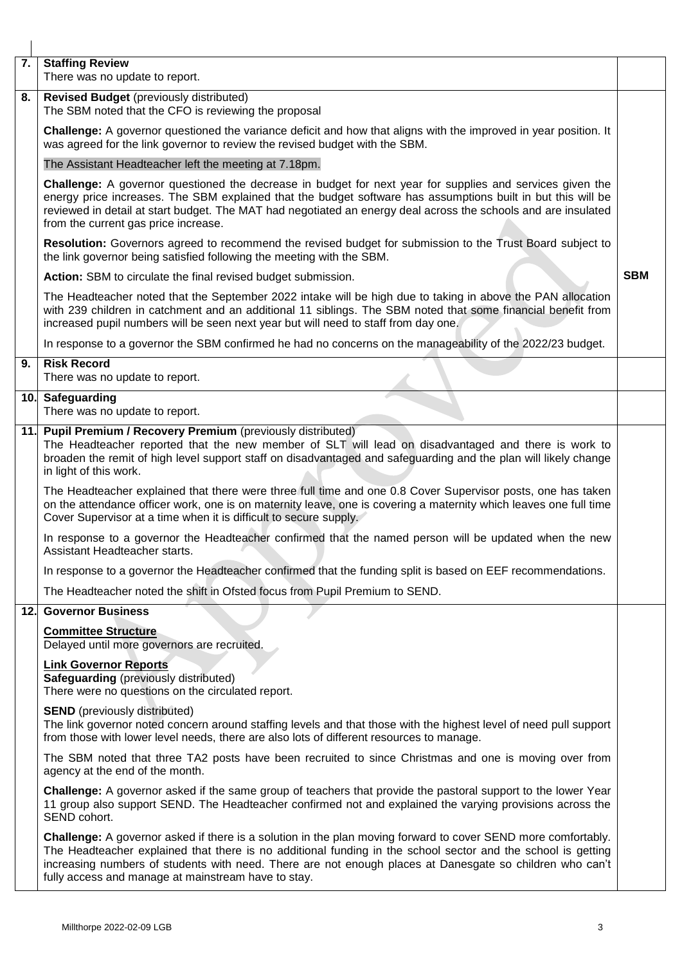| 7.  | <b>Staffing Review</b><br>There was no update to report.                                                                                                                                                                                                                                                                                                                                         |  |
|-----|--------------------------------------------------------------------------------------------------------------------------------------------------------------------------------------------------------------------------------------------------------------------------------------------------------------------------------------------------------------------------------------------------|--|
| 8.  | <b>Revised Budget</b> (previously distributed)<br>The SBM noted that the CFO is reviewing the proposal                                                                                                                                                                                                                                                                                           |  |
|     | Challenge: A governor questioned the variance deficit and how that aligns with the improved in year position. It<br>was agreed for the link governor to review the revised budget with the SBM.                                                                                                                                                                                                  |  |
|     | The Assistant Headteacher left the meeting at 7.18pm.                                                                                                                                                                                                                                                                                                                                            |  |
|     | Challenge: A governor questioned the decrease in budget for next year for supplies and services given the<br>energy price increases. The SBM explained that the budget software has assumptions built in but this will be<br>reviewed in detail at start budget. The MAT had negotiated an energy deal across the schools and are insulated<br>from the current gas price increase.              |  |
|     | Resolution: Governors agreed to recommend the revised budget for submission to the Trust Board subject to<br>the link governor being satisfied following the meeting with the SBM.                                                                                                                                                                                                               |  |
|     | Action: SBM to circulate the final revised budget submission.                                                                                                                                                                                                                                                                                                                                    |  |
|     | The Headteacher noted that the September 2022 intake will be high due to taking in above the PAN allocation<br>with 239 children in catchment and an additional 11 siblings. The SBM noted that some financial benefit from<br>increased pupil numbers will be seen next year but will need to staff from day one.                                                                               |  |
|     | In response to a governor the SBM confirmed he had no concerns on the manageability of the 2022/23 budget.                                                                                                                                                                                                                                                                                       |  |
| 9.  | <b>Risk Record</b><br>There was no update to report.                                                                                                                                                                                                                                                                                                                                             |  |
|     | 10. Safeguarding<br>There was no update to report.                                                                                                                                                                                                                                                                                                                                               |  |
| 11. | Pupil Premium / Recovery Premium (previously distributed)<br>The Headteacher reported that the new member of SLT will lead on disadvantaged and there is work to<br>broaden the remit of high level support staff on disadvantaged and safeguarding and the plan will likely change<br>in light of this work.                                                                                    |  |
|     | The Headteacher explained that there were three full time and one 0.8 Cover Supervisor posts, one has taken<br>on the attendance officer work, one is on maternity leave, one is covering a maternity which leaves one full time<br>Cover Supervisor at a time when it is difficult to secure supply.                                                                                            |  |
|     | In response to a governor the Headteacher confirmed that the named person will be updated when the new<br>Assistant Headteacher starts.                                                                                                                                                                                                                                                          |  |
|     | In response to a governor the Headteacher confirmed that the funding split is based on EEF recommendations.                                                                                                                                                                                                                                                                                      |  |
|     | The Headteacher noted the shift in Ofsted focus from Pupil Premium to SEND.                                                                                                                                                                                                                                                                                                                      |  |
| 12. | <b>Governor Business</b>                                                                                                                                                                                                                                                                                                                                                                         |  |
|     | <b>Committee Structure</b><br>Delayed until more governors are recruited.                                                                                                                                                                                                                                                                                                                        |  |
|     | <b>Link Governor Reports</b><br><b>Safeguarding</b> (previously distributed)<br>There were no questions on the circulated report.                                                                                                                                                                                                                                                                |  |
|     | <b>SEND</b> (previously distributed)<br>The link governor noted concern around staffing levels and that those with the highest level of need pull support<br>from those with lower level needs, there are also lots of different resources to manage.                                                                                                                                            |  |
|     | The SBM noted that three TA2 posts have been recruited to since Christmas and one is moving over from<br>agency at the end of the month.                                                                                                                                                                                                                                                         |  |
|     | Challenge: A governor asked if the same group of teachers that provide the pastoral support to the lower Year<br>11 group also support SEND. The Headteacher confirmed not and explained the varying provisions across the<br>SEND cohort.                                                                                                                                                       |  |
|     | Challenge: A governor asked if there is a solution in the plan moving forward to cover SEND more comfortably.<br>The Headteacher explained that there is no additional funding in the school sector and the school is getting<br>increasing numbers of students with need. There are not enough places at Danesgate so children who can't<br>fully access and manage at mainstream have to stay. |  |